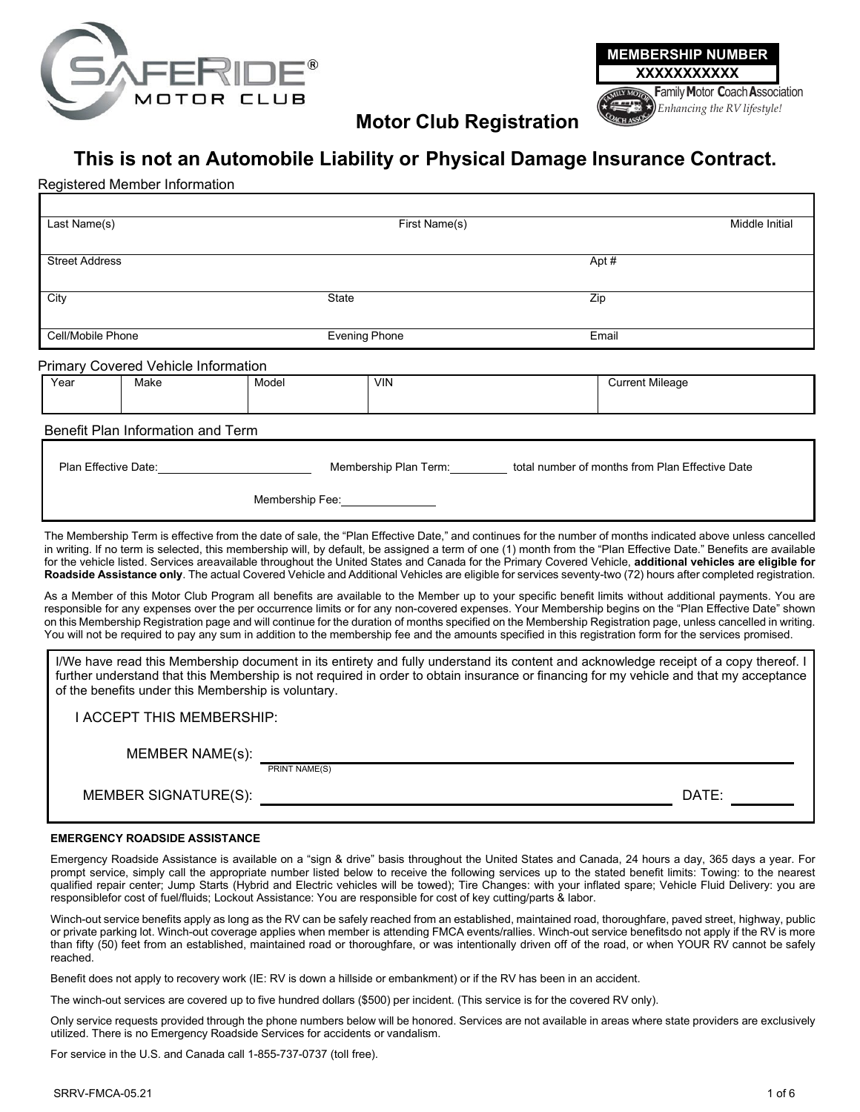



**Motor Club Registration**

# **This is not an Automobile Liability or Physical Damage Insurance Contract.**

## Registered Member Information

| Last Name(s)                                                                                                                                                                                                                                                                                                                            | First Name(s)        |                                                                                                                                                                                                                                                                                                                                                                                                                                                                                                                                                                                                                                                              |                        |  |  |
|-----------------------------------------------------------------------------------------------------------------------------------------------------------------------------------------------------------------------------------------------------------------------------------------------------------------------------------------|----------------------|--------------------------------------------------------------------------------------------------------------------------------------------------------------------------------------------------------------------------------------------------------------------------------------------------------------------------------------------------------------------------------------------------------------------------------------------------------------------------------------------------------------------------------------------------------------------------------------------------------------------------------------------------------------|------------------------|--|--|
| <b>Street Address</b>                                                                                                                                                                                                                                                                                                                   |                      |                                                                                                                                                                                                                                                                                                                                                                                                                                                                                                                                                                                                                                                              | Apt #                  |  |  |
| City                                                                                                                                                                                                                                                                                                                                    | <b>State</b>         |                                                                                                                                                                                                                                                                                                                                                                                                                                                                                                                                                                                                                                                              | Zip                    |  |  |
| Cell/Mobile Phone                                                                                                                                                                                                                                                                                                                       | <b>Evening Phone</b> |                                                                                                                                                                                                                                                                                                                                                                                                                                                                                                                                                                                                                                                              | Email                  |  |  |
| <b>Primary Covered Vehicle Information</b>                                                                                                                                                                                                                                                                                              |                      |                                                                                                                                                                                                                                                                                                                                                                                                                                                                                                                                                                                                                                                              |                        |  |  |
| Year<br>Make                                                                                                                                                                                                                                                                                                                            | Model                | <b>VIN</b>                                                                                                                                                                                                                                                                                                                                                                                                                                                                                                                                                                                                                                                   | <b>Current Mileage</b> |  |  |
| Benefit Plan Information and Term                                                                                                                                                                                                                                                                                                       |                      |                                                                                                                                                                                                                                                                                                                                                                                                                                                                                                                                                                                                                                                              |                        |  |  |
| Plan Effective Date:                                                                                                                                                                                                                                                                                                                    |                      | Membership Plan Term: total number of months from Plan Effective Date                                                                                                                                                                                                                                                                                                                                                                                                                                                                                                                                                                                        |                        |  |  |
|                                                                                                                                                                                                                                                                                                                                         | Membership Fee:      |                                                                                                                                                                                                                                                                                                                                                                                                                                                                                                                                                                                                                                                              |                        |  |  |
|                                                                                                                                                                                                                                                                                                                                         |                      | The Membership Term is effective from the date of sale, the "Plan Effective Date," and continues for the number of months indicated above unless cancelled<br>in writing. If no term is selected, this membership will, by default, be assigned a term of one (1) month from the "Plan Effective Date." Benefits are available<br>for the vehicle listed. Services areavailable throughout the United States and Canada for the Primary Covered Vehicle, additional vehicles are eligible for<br>Roadside Assistance only. The actual Covered Vehicle and Additional Vehicles are eligible for services seventy-two (72) hours after completed registration. |                        |  |  |
|                                                                                                                                                                                                                                                                                                                                         |                      | As a Member of this Motor Club Program all benefits are available to the Member up to your specific benefit limits without additional payments. You are<br>responsible for any expenses over the per occurrence limits or for any non-covered expenses. Your Membership begins on the "Plan Effective Date" shown<br>on this Membership Registration page and will continue for the duration of months specified on the Membership Registration page, unless cancelled in writing.<br>You will not be required to pay any sum in addition to the membership fee and the amounts specified in this registration form for the services promised.               |                        |  |  |
| I/We have read this Membership document in its entirety and fully understand its content and acknowledge receipt of a copy thereof. I<br>further understand that this Membership is not required in order to obtain insurance or financing for my vehicle and that my acceptance<br>of the benefits under this Membership is voluntary. |                      |                                                                                                                                                                                                                                                                                                                                                                                                                                                                                                                                                                                                                                                              |                        |  |  |
| <b>I ACCEPT THIS MEMBERSHIP:</b>                                                                                                                                                                                                                                                                                                        |                      |                                                                                                                                                                                                                                                                                                                                                                                                                                                                                                                                                                                                                                                              |                        |  |  |
| <b>MEMBER NAME(s):</b>                                                                                                                                                                                                                                                                                                                  |                      |                                                                                                                                                                                                                                                                                                                                                                                                                                                                                                                                                                                                                                                              |                        |  |  |

PRINT NAME(S)

MEMBER SIGNATURE(S): DATE:

#### **EMERGENCY ROADSIDE ASSISTANCE**

Emergency Roadside Assistance is available on a "sign & drive" basis throughout the United States and Canada, 24 hours a day, 365 days a year. For prompt service, simply call the appropriate number listed below to receive the following services up to the stated benefit limits: Towing: to the nearest qualified repair center; Jump Starts (Hybrid and Electric vehicles will be towed); Tire Changes: with your inflated spare; Vehicle Fluid Delivery: you are responsiblefor cost of fuel/fluids; Lockout Assistance: You are responsible for cost of key cutting/parts & labor.

Winch-out service benefits apply as long as the RV can be safely reached from an established, maintained road, thoroughfare, paved street, highway, public or private parking lot. Winch-out coverage applies when member is attending FMCA events/rallies. Winch-out service benefitsdo not apply if the RV is more than fifty (50) feet from an established, maintained road or thoroughfare, or was intentionally driven off of the road, or when YOUR RV cannot be safely reached.

Benefit does not apply to recovery work (IE: RV is down a hillside or embankment) or if the RV has been in an accident.

The winch-out services are covered up to five hundred dollars (\$500) per incident. (This service is for the covered RV only).

Only service requests provided through the phone numbers below will be honored. Services are not available in areas where state providers are exclusively utilized. There is no Emergency Roadside Services for accidents or vandalism.

For service in the U.S. and Canada call 1-855-737-0737 (toll free).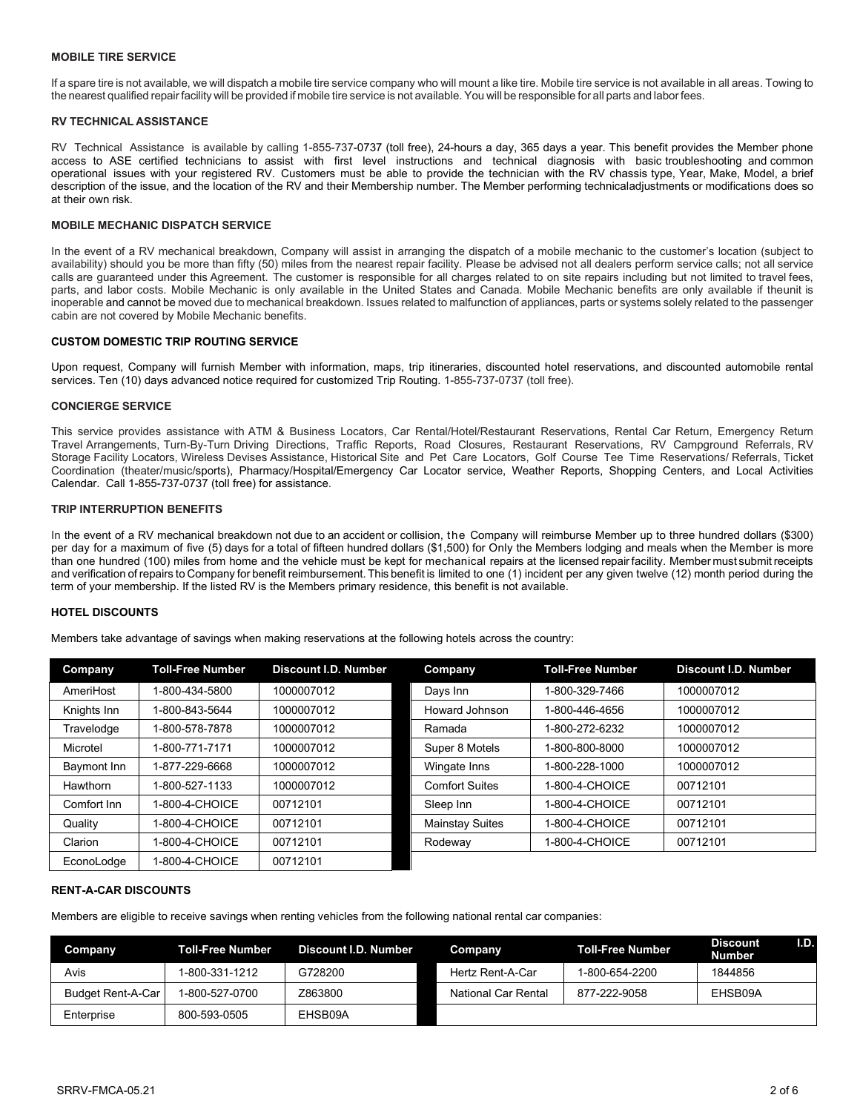#### **MOBILE TIRE SERVICE**

If a spare tire is not available, we will dispatch a mobile tire service company who will mount a like tire. Mobile tire service is not available in all areas. Towing to the nearest qualified repairfacility will be provided if mobile tire service is not available. You will be responsible for all parts and laborfees.

#### **RV TECHNICAL ASSISTANCE**

RV Technical Assistance is available by calling 1-855-737-0737 (toll free), 24-hours a day, 365 days a year. This benefit provides the Member phone access to ASE certified technicians to assist with first level instructions and technical diagnosis with basic troubleshooting and common operational issues with your registered RV. Customers must be able to provide the technician with the RV chassis type, Year, Make, Model, a brief description of the issue, and the location of the RV and their Membership number. The Member performing technicaladjustments or modifications does so at their own risk.

#### **MOBILE MECHANIC DISPATCH SERVICE**

In the event of a RV mechanical breakdown, Company will assist in arranging the dispatch of a mobile mechanic to the customer's location (subject to availability) should you be more than fifty (50) miles from the nearest repair facility. Please be advised not all dealers perform service calls; not all service calls are guaranteed under this Agreement. The customer is responsible for all charges related to on site repairs including but not limited to travel fees, parts, and labor costs. Mobile Mechanic is only available in the United States and Canada. Mobile Mechanic benefits are only available if theunit is inoperable and cannot be moved due to mechanical breakdown. Issues related to malfunction of appliances, parts or systems solely related to the passenger cabin are not covered by Mobile Mechanic benefits.

#### **CUSTOM DOMESTIC TRIP ROUTING SERVICE**

Upon request, Company will furnish Member with information, maps, trip itineraries, discounted hotel reservations, and discounted automobile rental services. Ten (10) days advanced notice required for customized Trip Routing. 1-855-737-0737 (toll free).

#### **CONCIERGE SERVICE**

This service provides assistance with ATM & Business Locators, Car Rental/Hotel/Restaurant Reservations, Rental Car Return, Emergency Return Travel Arrangements, Turn-By-Turn Driving Directions, Traffic Reports, Road Closures, Restaurant Reservations, RV Campground Referrals, RV Storage Facility Locators, Wireless Devises Assistance, Historical Site and Pet Care Locators, Golf Course Tee Time Reservations/ Referrals, Ticket Coordination (theater/music/sports), Pharmacy/Hospital/Emergency Car Locator service, Weather Reports, Shopping Centers, and Local Activities Calendar. Call 1-855-737-0737 (toll free) for assistance.

#### **TRIP INTERRUPTION BENEFITS**

In the event of a RV mechanical breakdown not due to an accident or collision, the Company will reimburse Member up to three hundred dollars (\$300) per day for a maximum of five (5) days for a total of fifteen hundred dollars (\$1,500) for Only the Members lodging and meals when the Member is more than one hundred (100) miles from home and the vehicle must be kept for mechanical repairs at the licensed repairfacility. Member must submit receipts and verification of repairs to Company for benefit reimbursement. This benefit is limited to one (1) incident per any given twelve (12) month period during the term of your membership. If the listed RV is the Members primary residence, this benefit is not available.

#### **HOTEL DISCOUNTS**

Members take advantage of savings when making reservations at the following hotels across the country:

| Company     | <b>Toll-Free Number</b> | <b>Discount I.D. Number</b> | Company                | <b>Toll-Free Number</b> | Discount I.D. Number |
|-------------|-------------------------|-----------------------------|------------------------|-------------------------|----------------------|
| AmeriHost   | 1-800-434-5800          | 1000007012                  | Days Inn               | 1-800-329-7466          | 1000007012           |
| Knights Inn | 1-800-843-5644          | 1000007012                  | Howard Johnson         | 1-800-446-4656          | 1000007012           |
| Travelodge  | 1-800-578-7878          | 1000007012                  | Ramada                 | 1-800-272-6232          | 1000007012           |
| Microtel    | 1-800-771-7171          | 1000007012                  | Super 8 Motels         | 1-800-800-8000          | 1000007012           |
| Baymont Inn | -877-229-6668           | 1000007012                  | Wingate Inns           | 1-800-228-1000          | 1000007012           |
| Hawthorn    | 1-800-527-1133          | 1000007012                  | <b>Comfort Suites</b>  | 1-800-4-CHOICE          | 00712101             |
| Comfort Inn | -800-4-CHOICE           | 00712101                    | Sleep Inn              | 1-800-4-CHOICE          | 00712101             |
| Quality     | 1-800-4-CHOICE          | 00712101                    | <b>Mainstay Suites</b> | 1-800-4-CHOICE          | 00712101             |
| Clarion     | -800-4-CHOICE           | 00712101                    | Rodeway                | 1-800-4-CHOICE          | 00712101             |
| EconoLodge  | 1-800-4-CHOICE          | 00712101                    |                        |                         |                      |

#### **RENT-A-CAR DISCOUNTS**

Members are eligible to receive savings when renting vehicles from the following national rental car companies:

| <b>Company</b>           | Toll-Free Number | Discount I.D. Number | Company             | <b>Toll-Free Number</b> | <b>Discount</b><br><b>Number</b> | I.D. |
|--------------------------|------------------|----------------------|---------------------|-------------------------|----------------------------------|------|
| Avis                     | 1-800-331-1212   | G728200              | Hertz Rent-A-Car    | 1-800-654-2200          | 1844856                          |      |
| <b>Budget Rent-A-Car</b> | 1-800-527-0700   | Z863800              | National Car Rental | 877-222-9058            | EHSB09A                          |      |
| Enterprise               | 800-593-0505     | EHSB09A              |                     |                         |                                  |      |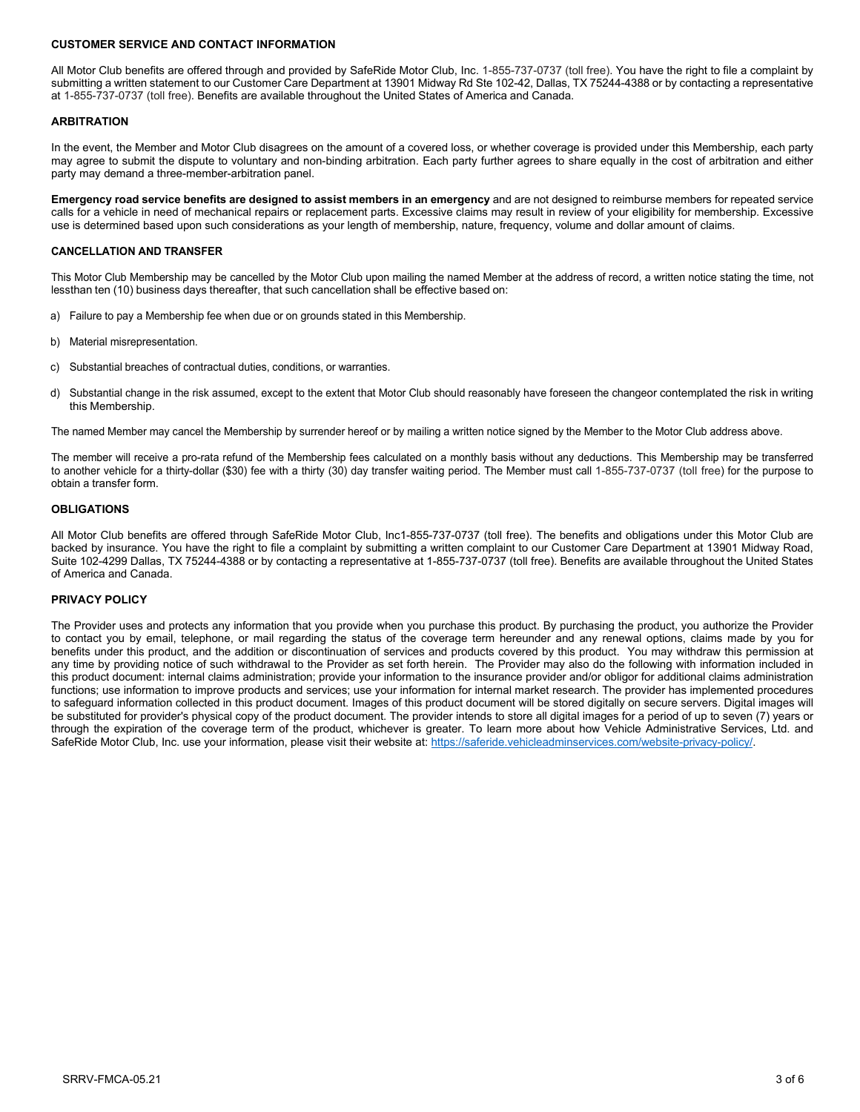#### **CUSTOMER SERVICE AND CONTACT INFORMATION**

All Motor Club benefits are offered through and provided by SafeRide Motor Club, Inc. 1-855-737-0737 (toll free). You have the right to file a complaint by submitting a written statement to our Customer Care Department at 13901 Midway Rd Ste 102-42, Dallas, TX 75244-4388 or by contacting a representative at 1-855-737-0737 (toll free). Benefits are available throughout the United States of America and Canada.

#### **ARBITRATION**

In the event, the Member and Motor Club disagrees on the amount of a covered loss, or whether coverage is provided under this Membership, each party may agree to submit the dispute to voluntary and non-binding arbitration. Each party further agrees to share equally in the cost of arbitration and either party may demand a three-member-arbitration panel.

**Emergency road service benefits are designed to assist members in an emergency** and are not designed to reimburse members for repeated service calls for a vehicle in need of mechanical repairs or replacement parts. Excessive claims may result in review of your eligibility for membership. Excessive use is determined based upon such considerations as your length of membership, nature, frequency, volume and dollar amount of claims.

#### **CANCELLATION AND TRANSFER**

This Motor Club Membership may be cancelled by the Motor Club upon mailing the named Member at the address of record, a written notice stating the time, not lessthan ten (10) business days thereafter, that such cancellation shall be effective based on:

- a) Failure to pay a Membership fee when due or on grounds stated in this Membership.
- b) Material misrepresentation.
- c) Substantial breaches of contractual duties, conditions, or warranties.
- d) Substantial change in the risk assumed, except to the extent that Motor Club should reasonably have foreseen the changeor contemplated the risk in writing this Membership.

The named Member may cancel the Membership by surrender hereof or by mailing a written notice signed by the Member to the Motor Club address above.

The member will receive a pro-rata refund of the Membership fees calculated on a monthly basis without any deductions. This Membership may be transferred to another vehicle for a thirty-dollar (\$30) fee with a thirty (30) day transfer waiting period. The Member must call 1-855-737-0737 (toll free) for the purpose to obtain a transfer form.

#### **OBLIGATIONS**

All Motor Club benefits are offered through SafeRide Motor Club, Inc1-855-737-0737 (toll free). The benefits and obligations under this Motor Club are backed by insurance. You have the right to file a complaint by submitting a written complaint to our Customer Care Department at 13901 Midway Road, Suite 102-4299 Dallas, TX 75244-4388 or by contacting a representative at 1-855-737-0737 (toll free). Benefits are available throughout the United States of America and Canada.

#### **PRIVACY POLICY**

The Provider uses and protects any information that you provide when you purchase this product. By purchasing the product, you authorize the Provider to contact you by email, telephone, or mail regarding the status of the coverage term hereunder and any renewal options, claims made by you for benefits under this product, and the addition or discontinuation of services and products covered by this product. You may withdraw this permission at any time by providing notice of such withdrawal to the Provider as set forth herein. The Provider may also do the following with information included in this product document: internal claims administration; provide your information to the insurance provider and/or obligor for additional claims administration functions; use information to improve products and services; use your information for internal market research. The provider has implemented procedures to safeguard information collected in this product document. Images of this product document will be stored digitally on secure servers. Digital images will be substituted for provider's physical copy of the product document. The provider intends to store all digital images for a period of up to seven (7) years or through the expiration of the coverage term of the product, whichever is greater. To learn more about how Vehicle Administrative Services, Ltd. and SafeRide Motor Club, Inc. use your information, please visit their website at: [https://saferide.vehicleadminservices.com/website-privacy-policy/.](https://saferide.vehicleadminservices.com/website-privacy-policy/)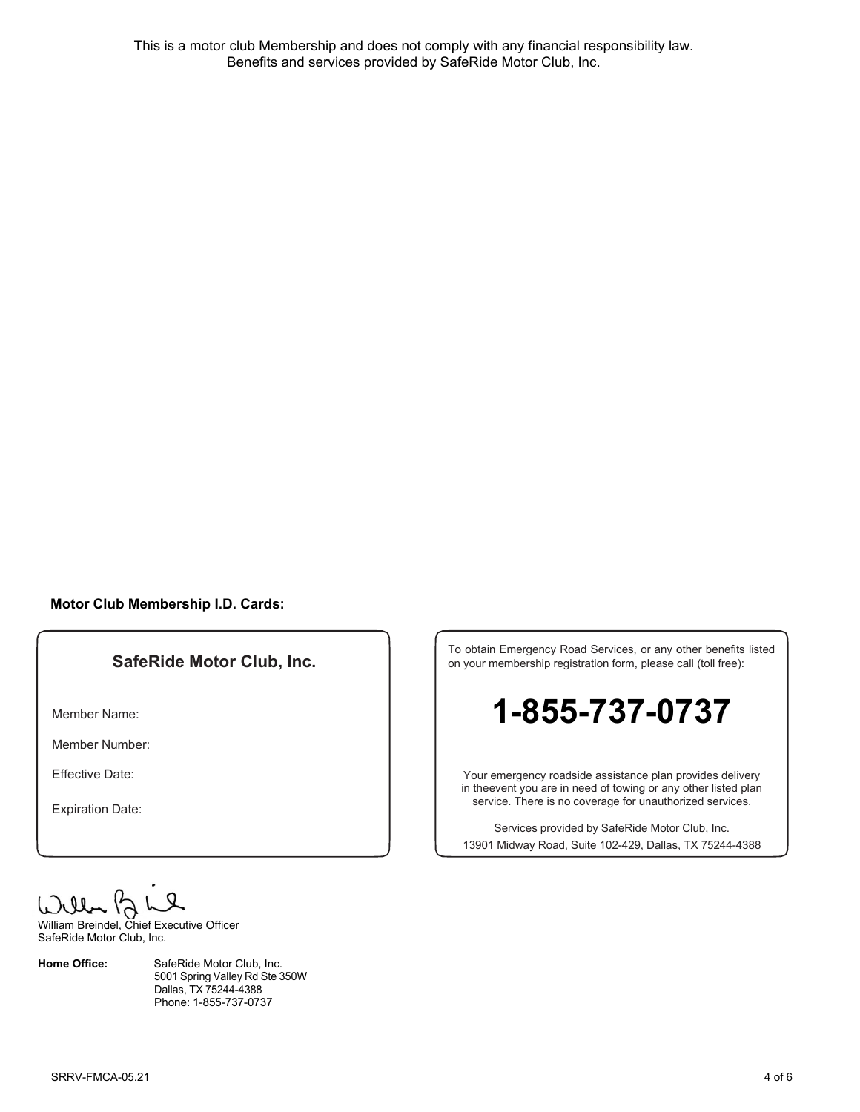This is a motor club Membership and does not comply with any financial responsibility law. Benefits and services provided by SafeRide Motor Club, Inc.

### **Motor Club Membership I.D. Cards:**

# **SafeRide Motor Club, Inc.**

Member Name:

Member Number:

Effective Date:

Expiration Date:

William Breindel, Chief Executive Officer

SafeRide Motor Club, Inc.

**Home Office:** SafeRide Motor Club, Inc. 5001 Spring Valley Rd Ste 350W Dallas, TX 75244-4388 Phone: 1-855-737-0737

To obtain Emergency Road Services, or any other benefits listed on your membership registration form, please call (toll free):

# **1-855-737-0737**

Your emergency roadside assistance plan provides delivery in theevent you are in need of towing or any other listed plan service. There is no coverage for unauthorized services.

Services provided by SafeRide Motor Club, Inc. 13901 Midway Road, Suite 102-429, Dallas, TX 75244-4388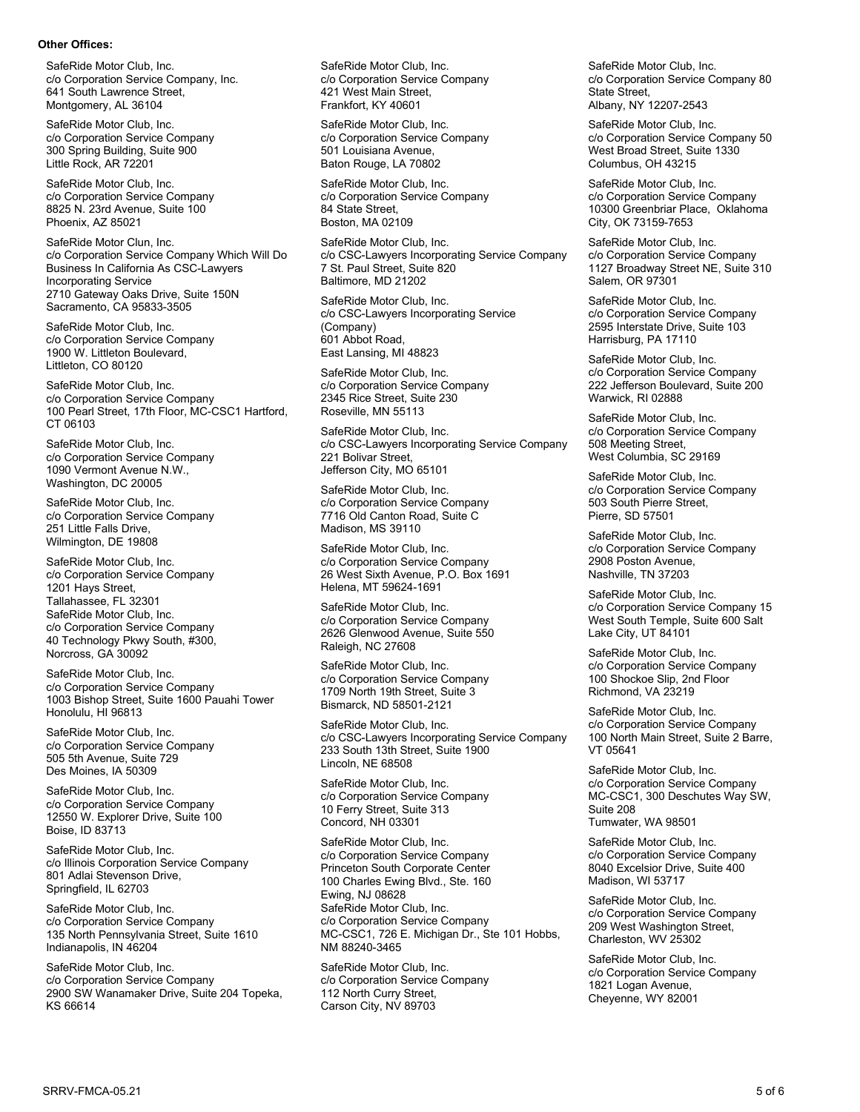#### **Other Offices:**

SafeRide Motor Club, Inc. c/o Corporation Service Company, Inc. 641 South Lawrence Street, Montgomery, AL 36104

SafeRide Motor Club, Inc. c/o Corporation Service Company 300 Spring Building, Suite 900 Little Rock, AR 72201

SafeRide Motor Club, Inc. c/o Corporation Service Company 8825 N. 23rd Avenue, Suite 100 Phoenix, AZ 85021

SafeRide Motor Clun, Inc. c/o Corporation Service Company Which Will Do Business In California As CSC-Lawyers Incorporating Service 2710 Gateway Oaks Drive, Suite 150N Sacramento, CA 95833-3505

SafeRide Motor Club, Inc. c/o Corporation Service Company 1900 W. Littleton Boulevard, Littleton, CO 80120

SafeRide Motor Club, Inc. c/o Corporation Service Company 100 Pearl Street, 17th Floor, MC-CSC1 Hartford, CT 06103

SafeRide Motor Club, Inc. c/o Corporation Service Company 1090 Vermont Avenue N.W., Washington, DC 20005

SafeRide Motor Club, Inc. c/o Corporation Service Company 251 Little Falls Drive, Wilmington, DE 19808

SafeRide Motor Club, Inc. c/o Corporation Service Company 1201 Hays Street, Tallahassee, FL 32301 SafeRide Motor Club, Inc. c/o Corporation Service Company 40 Technology Pkwy South, #300, Norcross, GA 30092

SafeRide Motor Club, Inc. c/o Corporation Service Company 1003 Bishop Street, Suite 1600 Pauahi Tower Honolulu, HI 96813

SafeRide Motor Club, Inc. c/o Corporation Service Company 505 5th Avenue, Suite 729 Des Moines, IA 50309

SafeRide Motor Club, Inc. c/o Corporation Service Company 12550 W. Explorer Drive, Suite 100 Boise, ID 83713

SafeRide Motor Club, Inc. c/o Illinois Corporation Service Company 801 Adlai Stevenson Drive, Springfield, IL 62703

SafeRide Motor Club, Inc. c/o Corporation Service Company 135 North Pennsylvania Street, Suite 1610 Indianapolis, IN 46204

SafeRide Motor Club, Inc. c/o Corporation Service Company 2900 SW Wanamaker Drive, Suite 204 Topeka, KS 66614

SafeRide Motor Club, Inc. c/o Corporation Service Company 421 West Main Street, Frankfort, KY 40601

SafeRide Motor Club, Inc. c/o Corporation Service Company 501 Louisiana Avenue, Baton Rouge, LA 70802

SafeRide Motor Club, Inc. c/o Corporation Service Company 84 State Street, Boston, MA 02109

SafeRide Motor Club, Inc. c/o CSC-Lawyers Incorporating Service Company 7 St. Paul Street, Suite 820 Baltimore, MD 21202

SafeRide Motor Club, Inc. c/o CSC-Lawyers Incorporating Service (Company) 601 Abbot Road, East Lansing, MI 48823

SafeRide Motor Club, Inc. c/o Corporation Service Company 2345 Rice Street, Suite 230 Roseville, MN 55113

SafeRide Motor Club, Inc. c/o CSC-Lawyers Incorporating Service Company 221 Bolivar Street, Jefferson City, MO 65101

SafeRide Motor Club, Inc. c/o Corporation Service Company 7716 Old Canton Road, Suite C Madison, MS 39110

SafeRide Motor Club, Inc. c/o Corporation Service Company 26 West Sixth Avenue, P.O. Box 1691 Helena, MT 59624-1691

SafeRide Motor Club, Inc. c/o Corporation Service Company 2626 Glenwood Avenue, Suite 550 Raleigh, NC 27608

SafeRide Motor Club, Inc. c/o Corporation Service Company 1709 North 19th Street, Suite 3 Bismarck, ND 58501-2121

SafeRide Motor Club, Inc. c/o CSC-Lawyers Incorporating Service Company 233 South 13th Street, Suite 1900 Lincoln, NE 68508

SafeRide Motor Club, Inc. c/o Corporation Service Company 10 Ferry Street, Suite 313 Concord, NH 03301

SafeRide Motor Club, Inc. c/o Corporation Service Company Princeton South Corporate Center 100 Charles Ewing Blvd., Ste. 160 Ewing, NJ 08628 SafeRide Motor Club, Inc. c/o Corporation Service Company MC-CSC1, 726 E. Michigan Dr., Ste 101 Hobbs, NM 88240-3465

SafeRide Motor Club, Inc. c/o Corporation Service Company 112 North Curry Street, Carson City, NV 89703

SafeRide Motor Club, Inc. c/o Corporation Service Company 80 State Street, Albany, NY 12207-2543

SafeRide Motor Club, Inc. c/o Corporation Service Company 50 West Broad Street, Suite 1330 Columbus, OH 43215

SafeRide Motor Club, Inc. c/o Corporation Service Company 10300 Greenbriar Place, Oklahoma City, OK 73159-7653

SafeRide Motor Club, Inc. c/o Corporation Service Company 1127 Broadway Street NE, Suite 310 Salem, OR 97301

SafeRide Motor Club, Inc. c/o Corporation Service Company 2595 Interstate Drive, Suite 103 Harrisburg, PA 17110

SafeRide Motor Club, Inc. c/o Corporation Service Company 222 Jefferson Boulevard, Suite 200 Warwick, RI 02888

SafeRide Motor Club, Inc. c/o Corporation Service Company 508 Meeting Street, West Columbia, SC 29169

SafeRide Motor Club, Inc. c/o Corporation Service Company 503 South Pierre Street, Pierre, SD 57501

SafeRide Motor Club, Inc. c/o Corporation Service Company 2908 Poston Avenue, Nashville, TN 37203

SafeRide Motor Club, Inc. c/o Corporation Service Company 15 West South Temple, Suite 600 Salt Lake City, UT 84101

SafeRide Motor Club, Inc. c/o Corporation Service Company 100 Shockoe Slip, 2nd Floor Richmond, VA 23219

SafeRide Motor Club, Inc. c/o Corporation Service Company 100 North Main Street, Suite 2 Barre, VT 05641

SafeRide Motor Club, Inc. c/o Corporation Service Company MC-CSC1, 300 Deschutes Way SW, Suite 208 Tumwater, WA 98501

SafeRide Motor Club, Inc. c/o Corporation Service Company 8040 Excelsior Drive, Suite 400 Madison, WI 53717

SafeRide Motor Club, Inc. c/o Corporation Service Company 209 West Washington Street, Charleston, WV 25302

SafeRide Motor Club, Inc. c/o Corporation Service Company 1821 Logan Avenue, Cheyenne, WY 82001